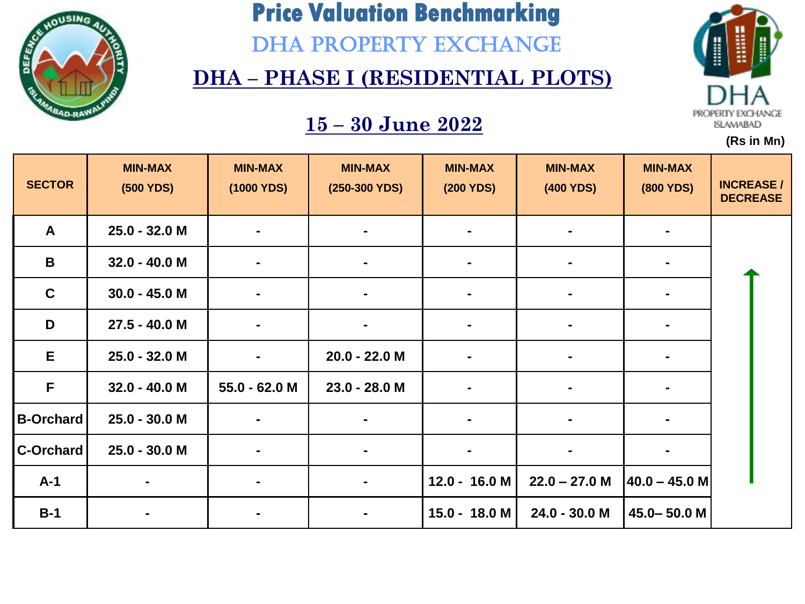

DHA PROPERTY EXCHANGE

#### **DHA – PHASE I (RESIDENTIAL PLOTS)**

### **15 – 30 June 2022**



| <b>SECTOR</b>    | <b>MIN-MAX</b><br>(500 YDS) | <b>MIN-MAX</b><br>(1000 YDS) | <b>MIN-MAX</b><br>(250-300 YDS) | <b>MIN-MAX</b><br>(200 YDS) | <b>MIN-MAX</b><br>(400 YDS) | <b>MIN-MAX</b><br><b>(800 YDS)</b> | <b>INCREASE/</b><br><b>DECREASE</b> |
|------------------|-----------------------------|------------------------------|---------------------------------|-----------------------------|-----------------------------|------------------------------------|-------------------------------------|
| $\mathbf{A}$     | 25.0 - 32.0 M               |                              |                                 |                             |                             |                                    |                                     |
| $\mathbf B$      | $32.0 - 40.0 M$             |                              |                                 |                             |                             |                                    |                                     |
| $\mathbf C$      | $30.0 - 45.0 M$             | $\blacksquare$               | $\blacksquare$                  | $\blacksquare$              | $\blacksquare$              |                                    |                                     |
| D                | 27.5 - 40.0 M               | $\blacksquare$               |                                 | $\blacksquare$              | $\blacksquare$              | $\blacksquare$                     |                                     |
| E                | 25.0 - 32.0 M               | $\blacksquare$               | 20.0 - 22.0 M                   |                             | $\blacksquare$              |                                    |                                     |
| F                | $32.0 - 40.0 M$             | 55.0 - 62.0 M                | 23.0 - 28.0 M                   |                             |                             |                                    |                                     |
| <b>B-Orchard</b> | 25.0 - 30.0 M               |                              |                                 |                             | $\blacksquare$              |                                    |                                     |
| C-Orchard        | $25.0 - 30.0 M$             | ۰                            |                                 |                             |                             |                                    |                                     |
| $A-1$            |                             | $\blacksquare$               |                                 | $12.0 - 16.0 M$             | $22.0 - 27.0 M$             | $40.0 - 45.0$ M                    |                                     |
| $B-1$            |                             |                              |                                 | 15.0 - 18.0 M               | 24.0 - 30.0 M               | 45.0-50.0 M                        |                                     |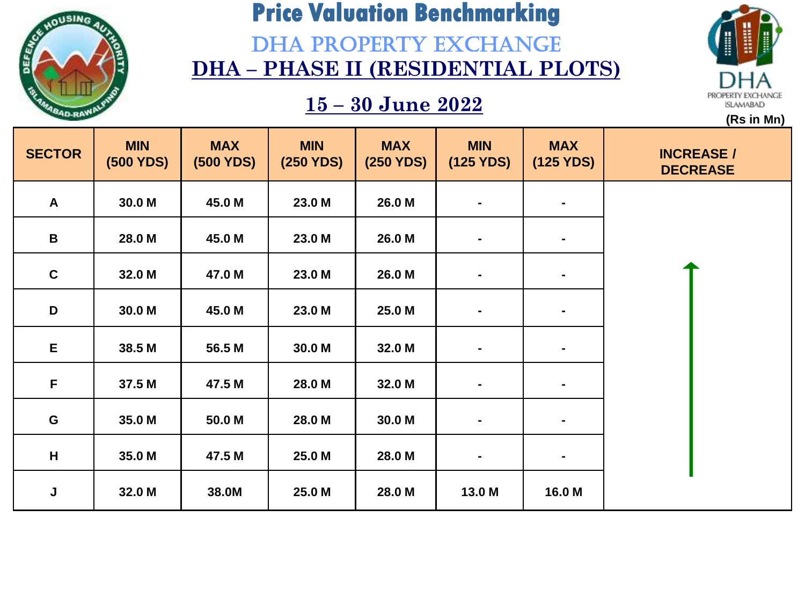

### DHA PROPERTY EXCHANGE **DHA – PHASE II (RESIDENTIAL PLOTS)**



| <b>SECTOR</b>   | <b>MIN</b><br>(500 YDS) | <b>MAX</b><br><b>(500 YDS)</b> | <b>MIN</b><br>(250 YDS) | <b>MAX</b><br>(250 YDS) | <b>MIN</b><br>(125 YDS) | <b>MAX</b><br>(125 YDS) | <b>INCREASE /</b><br><b>DECREASE</b> |
|-----------------|-------------------------|--------------------------------|-------------------------|-------------------------|-------------------------|-------------------------|--------------------------------------|
| $\mathsf{A}$    | 30.0 M                  | 45.0 M                         | 23.0 M                  | 26.0 M                  | $\blacksquare$          | ٠.                      |                                      |
| $\, {\bf B} \,$ | 28.0 M                  | 45.0 M                         | 23.0 M                  | 26.0 M                  | ۰.                      | ۰                       |                                      |
| $\mathbf c$     | 32.0 M                  | 47.0 M                         | 23.0 M                  | 26.0 M                  | $\sim$                  | ٠.                      |                                      |
| D               | 30.0 M                  | 45.0 M                         | 23.0 M                  | 25.0 M                  | $\blacksquare$          | ٠.                      |                                      |
| E               | 38.5 M                  | 56.5 M                         | 30.0 M                  | 32.0 M                  | $\blacksquare$          | ۰                       |                                      |
| F               | 37.5 M                  | 47.5 M                         | 28.0 M                  | 32.0 M                  | $\blacksquare$          |                         |                                      |
| G               | 35.0 M                  | 50.0 M                         | 28.0 M                  | 30.0 M                  | $\blacksquare$          | $\blacksquare$          |                                      |
| H               | 35.0 M                  | 47.5 M                         | 25.0 M                  | 28.0 M                  | $\blacksquare$          | ٠                       |                                      |
| J               | 32.0 M                  | 38.0M                          | 25.0 M                  | 28.0 M                  | 13.0 M                  | 16.0 M                  |                                      |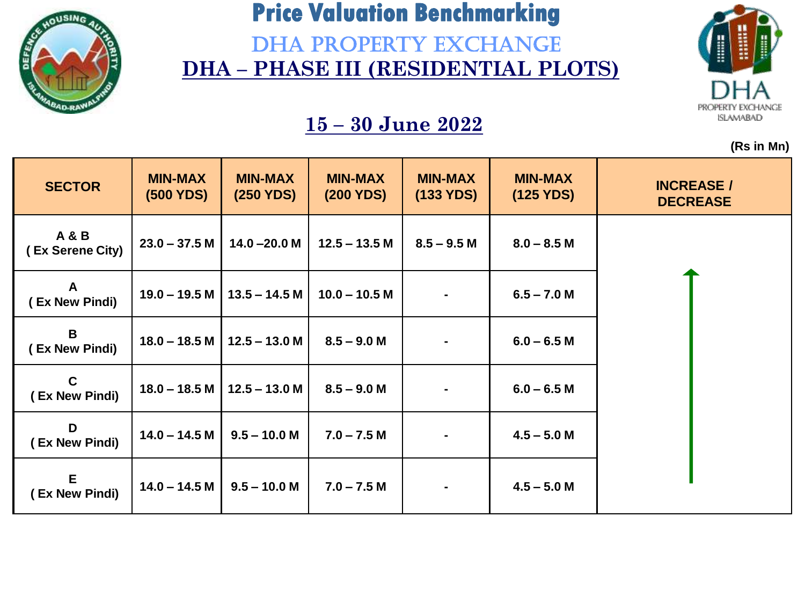

DHA PROPERTY EXCHANGE **DHA – PHASE III (RESIDENTIAL PLOTS)** 



**(Rs in Mn)**

| <b>SECTOR</b>                      | <b>MIN-MAX</b><br>(500 YDS) | <b>MIN-MAX</b><br>(250 YDS) | <b>MIN-MAX</b><br>(200 YDS) | <b>MIN-MAX</b><br>(133 YDS) | <b>MIN-MAX</b><br>(125 YDS) | <b>INCREASE /</b><br><b>DECREASE</b> |
|------------------------------------|-----------------------------|-----------------------------|-----------------------------|-----------------------------|-----------------------------|--------------------------------------|
| <b>A&amp;B</b><br>(Ex Serene City) | $23.0 - 37.5 M$             | $14.0 - 20.0 M$             | $12.5 - 13.5$ M             | $8.5 - 9.5$ M               | $8.0 - 8.5 M$               |                                      |
| A<br>(Ex New Pindi)                | $19.0 - 19.5 M$             | $13.5 - 14.5 M$             | $10.0 - 10.5 M$             |                             | $6.5 - 7.0 M$               |                                      |
| B<br>(Ex New Pindi)                | $18.0 - 18.5$ M             | $12.5 - 13.0 M$             | $8.5 - 9.0 M$               |                             | $6.0 - 6.5 M$               |                                      |
| $\mathbf c$<br>(Ex New Pindi)      | $18.0 - 18.5 M$             | $12.5 - 13.0 M$             | $8.5 - 9.0 M$               |                             | $6.0 - 6.5 M$               |                                      |
| D<br>(Ex New Pindi)                | $14.0 - 14.5 M$             | $9.5 - 10.0 M$              | $7.0 - 7.5 M$               |                             | $4.5 - 5.0 M$               |                                      |
| E<br>(Ex New Pindi)                | $14.0 - 14.5 M$             | $9.5 - 10.0 M$              | $7.0 - 7.5 M$               |                             | $4.5 - 5.0 M$               |                                      |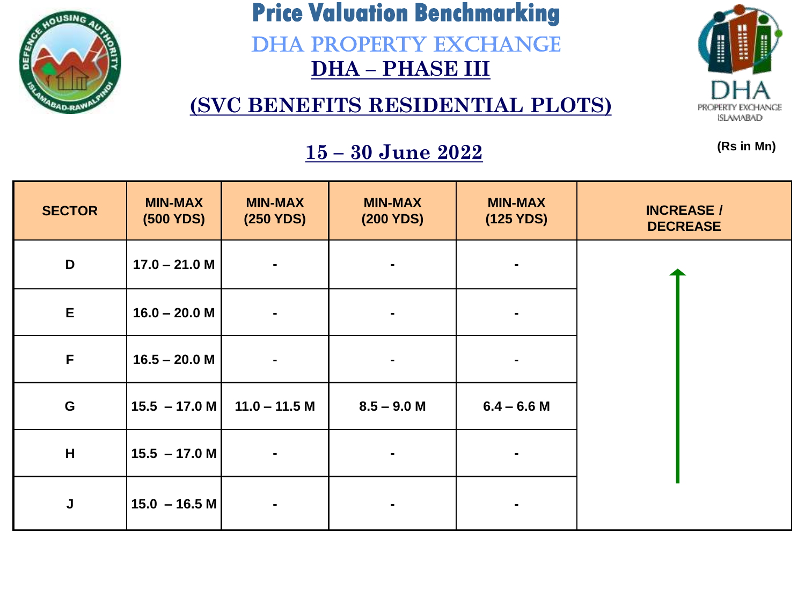

DHA PROPERTY EXCHANGE **DHA – PHASE III** 

**(SVC BENEFITS RESIDENTIAL PLOTS)**



**(Rs in Mn)**

| <b>SECTOR</b> | <b>MIN-MAX</b><br>(500 YDS) | <b>MIN-MAX</b><br>(250 YDS) | <b>MIN-MAX</b><br>(200 YDS) | <b>MIN-MAX</b><br>(125 YDS) | <b>INCREASE /</b><br><b>DECREASE</b> |
|---------------|-----------------------------|-----------------------------|-----------------------------|-----------------------------|--------------------------------------|
| D             | $17.0 - 21.0 M$             | $\blacksquare$              | $\blacksquare$              |                             |                                      |
| E             | $16.0 - 20.0 M$             | $\blacksquare$              |                             |                             |                                      |
| $\mathsf F$   | $16.5 - 20.0 M$             | $\blacksquare$              | $\blacksquare$              |                             |                                      |
| $\mathbf G$   | $15.5 - 17.0 M$             | $11.0 - 11.5$ M             | $8.5 - 9.0 M$               | $6.4 - 6.6$ M               |                                      |
| H             | $15.5 - 17.0 M$             | $\blacksquare$              |                             |                             |                                      |
| J             | $15.0 - 16.5 M$             | $\blacksquare$              | $\blacksquare$              |                             |                                      |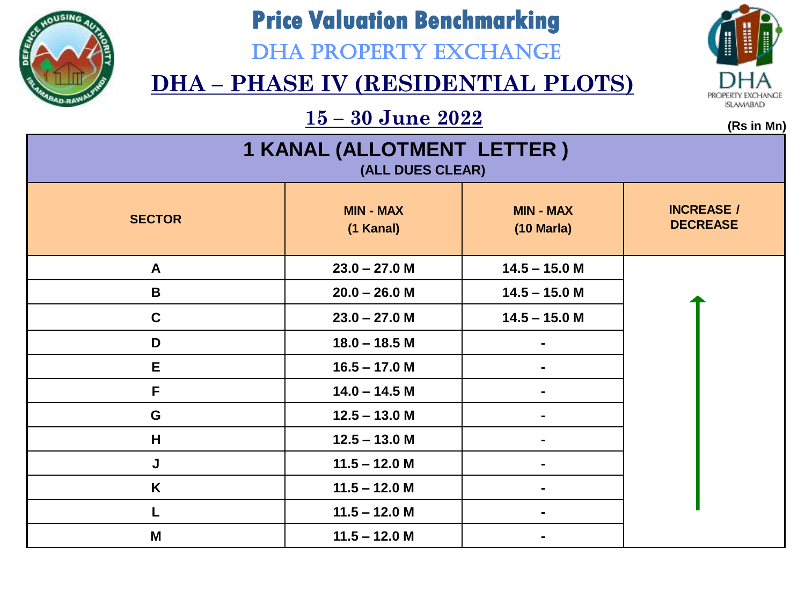

### DHA PROPERTY EXCHANGE

### **DHA – PHASE IV (RESIDENTIAL PLOTS)**



 $\frac{15 - 30 \text{ June } 2022}{\text{(ms in Mn)}}$ 

| 1 KANAL (ALLOTMENT LETTER)<br>(ALL DUES CLEAR) |                               |                                          |                                      |  |  |
|------------------------------------------------|-------------------------------|------------------------------------------|--------------------------------------|--|--|
| <b>SECTOR</b>                                  | <b>MIN - MAX</b><br>(1 Kanal) | <b>MIN - MAX</b><br>$(10 \text{ Maria})$ | <b>INCREASE /</b><br><b>DECREASE</b> |  |  |
| A                                              | $23.0 - 27.0 M$               | $14.5 - 15.0$ M                          |                                      |  |  |
| B                                              | $20.0 - 26.0 M$               | $14.5 - 15.0$ M                          |                                      |  |  |
| $\mathbf C$                                    | $23.0 - 27.0 M$               | $14.5 - 15.0$ M                          |                                      |  |  |
| D                                              | $18.0 - 18.5$ M               |                                          |                                      |  |  |
| E                                              | $16.5 - 17.0 M$               |                                          |                                      |  |  |
| F                                              | $14.0 - 14.5 M$               |                                          |                                      |  |  |
| G                                              | $12.5 - 13.0 M$               |                                          |                                      |  |  |
| H                                              | $12.5 - 13.0 M$               |                                          |                                      |  |  |
| J                                              | $11.5 - 12.0$ M               |                                          |                                      |  |  |
| K                                              | $11.5 - 12.0$ M               |                                          |                                      |  |  |
|                                                | $11.5 - 12.0 M$               |                                          |                                      |  |  |
| M                                              | $11.5 - 12.0$ M               |                                          |                                      |  |  |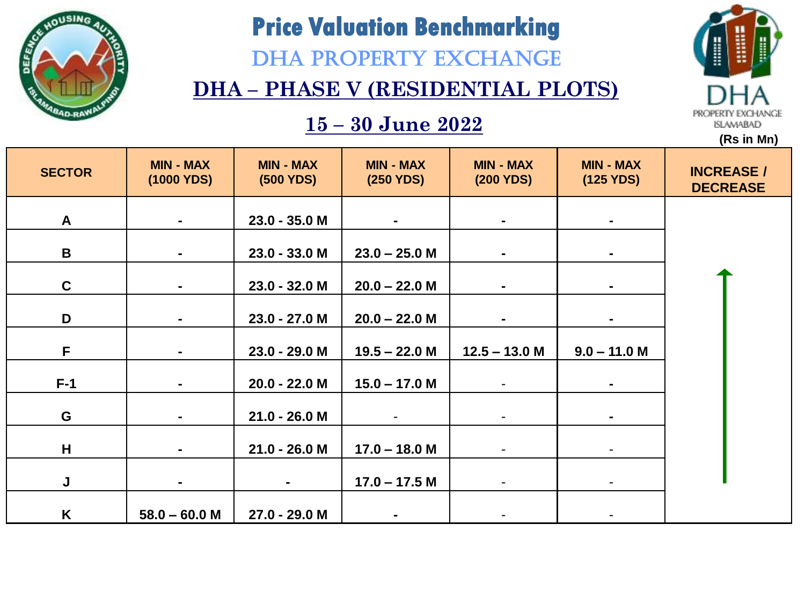

DHA PROPERTY EXCHANGE

### **DHA – PHASE V (RESIDENTIAL PLOTS)**

### **15 – 30 June 2022**



| <b>SECTOR</b> | <b>MIN - MAX</b><br>(1000 YDS) | <b>MIN - MAX</b><br>(500 YDS) | <b>MIN - MAX</b><br>(250 YDS) | <b>MIN - MAX</b><br>(200 YDS) | <b>MIN - MAX</b><br>(125 YDS) | <b>INCREASE /</b><br><b>DECREASE</b> |
|---------------|--------------------------------|-------------------------------|-------------------------------|-------------------------------|-------------------------------|--------------------------------------|
| $\mathsf{A}$  | $\blacksquare$                 | 23.0 - 35.0 M                 | $\blacksquare$                | $\blacksquare$                | $\blacksquare$                |                                      |
| B             | $\blacksquare$                 | 23.0 - 33.0 M                 | $23.0 - 25.0$ M               | $\blacksquare$                |                               |                                      |
| $\mathbf C$   | $\blacksquare$                 | 23.0 - 32.0 M                 | $20.0 - 22.0$ M               | $\blacksquare$                | $\blacksquare$                |                                      |
| D             | $\blacksquare$                 | 23.0 - 27.0 M                 | $20.0 - 22.0$ M               | $\blacksquare$                |                               |                                      |
| F.            | $\blacksquare$                 | 23.0 - 29.0 M                 | $19.5 - 22.0 M$               | $12.5 - 13.0$ M               | $9.0 - 11.0$ M                |                                      |
| $F-1$         | $\blacksquare$                 | 20.0 - 22.0 M                 | $15.0 - 17.0 M$               |                               |                               |                                      |
| G             | $\blacksquare$                 | $21.0 - 26.0 M$               |                               | $\overline{\phantom{a}}$      | $\blacksquare$                |                                      |
| H             | $\blacksquare$                 | $21.0 - 26.0 M$               | $17.0 - 18.0 M$               | $\overline{\phantom{a}}$      |                               |                                      |
| J             | $\blacksquare$                 |                               | $17.0 - 17.5 M$               | $\overline{\phantom{a}}$      | -                             |                                      |
| K             | $58.0 - 60.0 M$                | 27.0 - 29.0 M                 |                               |                               |                               |                                      |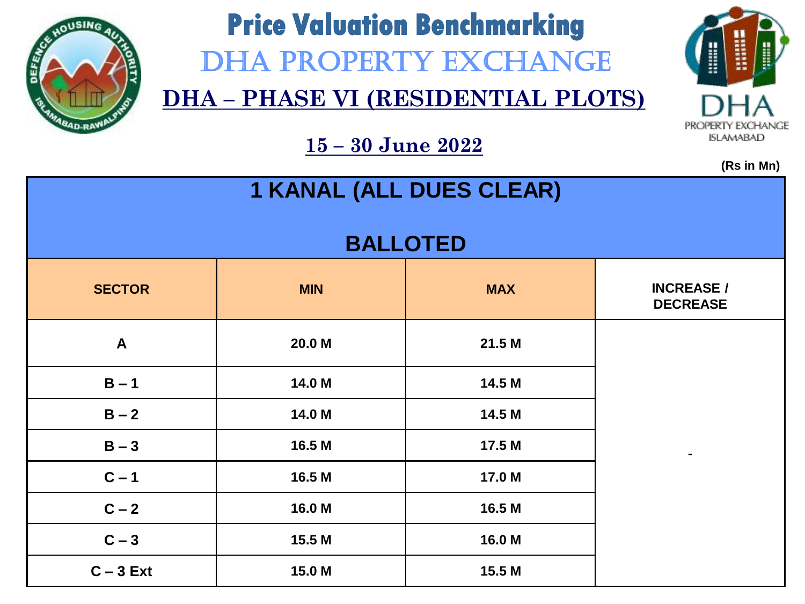

# **Price Valuation Benchmarking**  DHA PROPERTY EXCHANGE

**DHA – PHASE VI (RESIDENTIAL PLOTS)**



**(Rs in Mn)**

| 1 KANAL (ALL DUES CLEAR) |            |                 |                                      |  |  |
|--------------------------|------------|-----------------|--------------------------------------|--|--|
|                          |            | <b>BALLOTED</b> |                                      |  |  |
| <b>SECTOR</b>            | <b>MIN</b> | <b>MAX</b>      | <b>INCREASE /</b><br><b>DECREASE</b> |  |  |
| $\mathbf{A}$             | 20.0 M     | 21.5 M          |                                      |  |  |
| $B - 1$                  | 14.0 M     | 14.5 M          |                                      |  |  |
| $B - 2$                  | 14.0 M     | 14.5 M          |                                      |  |  |
| $B - 3$                  | 16.5 M     | 17.5 M          | $\blacksquare$                       |  |  |
| $C - 1$                  | 16.5 M     | 17.0 M          |                                      |  |  |
| $C - 2$                  | 16.0 M     | 16.5 M          |                                      |  |  |
| $C-3$                    | 15.5 M     | 16.0 M          |                                      |  |  |
| $C - 3$ Ext              | 15.0 M     | 15.5 M          |                                      |  |  |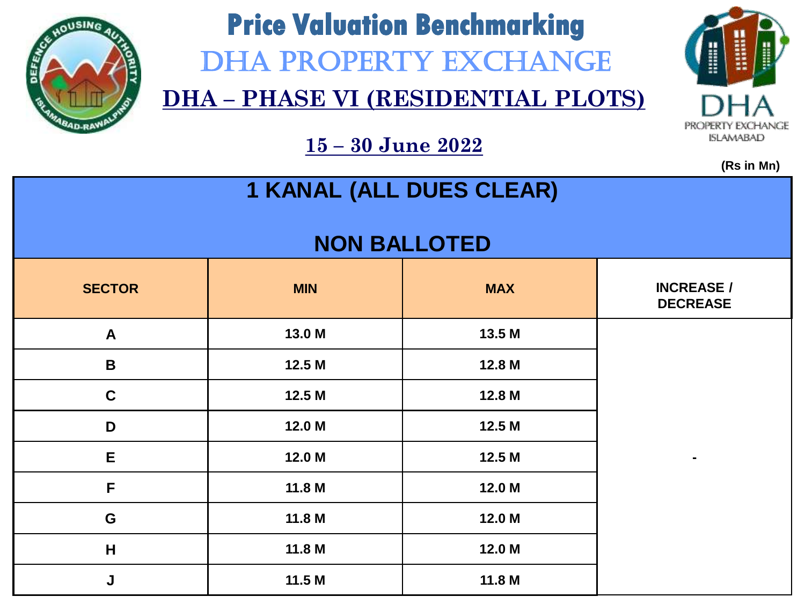

# **Price Valuation Benchmarking**  DHA PROPERTY EXCHANGE

**DHA – PHASE VI (RESIDENTIAL PLOTS)**



**15 – 30 June 2022**

| 1 KANAL (ALL DUES CLEAR) |                     |            |                                      |  |  |  |  |
|--------------------------|---------------------|------------|--------------------------------------|--|--|--|--|
|                          | <b>NON BALLOTED</b> |            |                                      |  |  |  |  |
| <b>SECTOR</b>            | <b>MIN</b>          | <b>MAX</b> | <b>INCREASE /</b><br><b>DECREASE</b> |  |  |  |  |
| $\mathsf{A}$             | 13.0 M              | 13.5 M     |                                      |  |  |  |  |
| $\mathbf B$              | 12.5 M              | 12.8 M     |                                      |  |  |  |  |
| $\mathbf C$              | 12.5 M              | 12.8 M     |                                      |  |  |  |  |
| D                        | 12.0 M              | 12.5 M     |                                      |  |  |  |  |
| E                        | 12.0 M              | 12.5 M     |                                      |  |  |  |  |
| $\mathsf{F}$             | 11.8 M              | 12.0 M     |                                      |  |  |  |  |
| G                        | 11.8 M              | 12.0 M     |                                      |  |  |  |  |
| H                        | 11.8 M              | 12.0 M     |                                      |  |  |  |  |
| J                        | 11.5M               | 11.8 M     |                                      |  |  |  |  |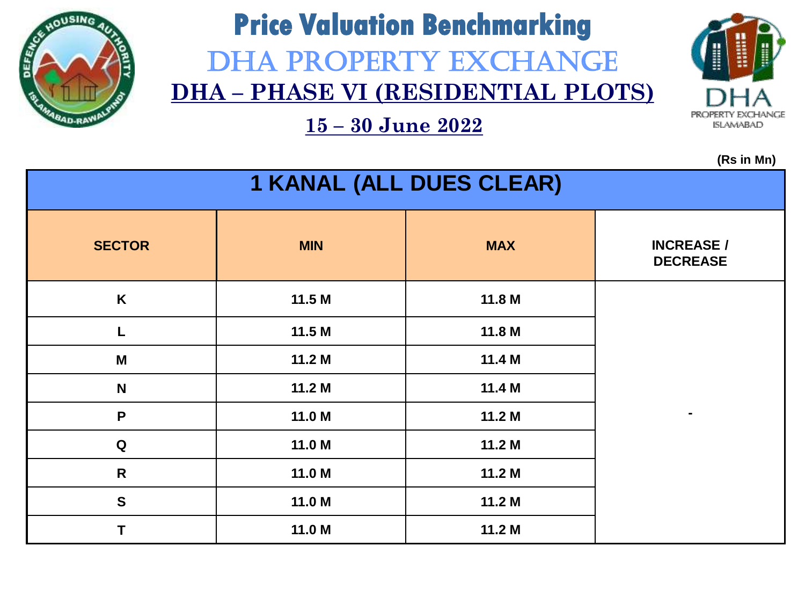

# **Price Valuation Benchmarking** DHA PROPERTY EXCHANGE **DHA – PHASE VI (RESIDENTIAL PLOTS)**

**15 – 30 June 2022**



| $\mathbf{v}$ . The same $\mathbf{v}$<br>1 KANAL (ALL DUES CLEAR) |            |            |                                      |  |  |
|------------------------------------------------------------------|------------|------------|--------------------------------------|--|--|
| <b>SECTOR</b>                                                    | <b>MIN</b> | <b>MAX</b> | <b>INCREASE /</b><br><b>DECREASE</b> |  |  |
| K                                                                | 11.5M      | 11.8 M     |                                      |  |  |
| L                                                                | 11.5M      | 11.8 M     |                                      |  |  |
| M                                                                | 11.2 M     | 11.4 M     |                                      |  |  |
| $\mathbf N$                                                      | 11.2 M     | 11.4 M     |                                      |  |  |
| $\mathsf{P}$                                                     | 11.0 M     | 11.2 M     | $\blacksquare$                       |  |  |
| $\mathbf Q$                                                      | 11.0 M     | 11.2 M     |                                      |  |  |
| $\mathsf{R}$                                                     | 11.0 M     | 11.2 M     |                                      |  |  |
| $\mathbf S$                                                      | 11.0 M     | 11.2 M     |                                      |  |  |
| Τ                                                                | 11.0 M     | 11.2 M     |                                      |  |  |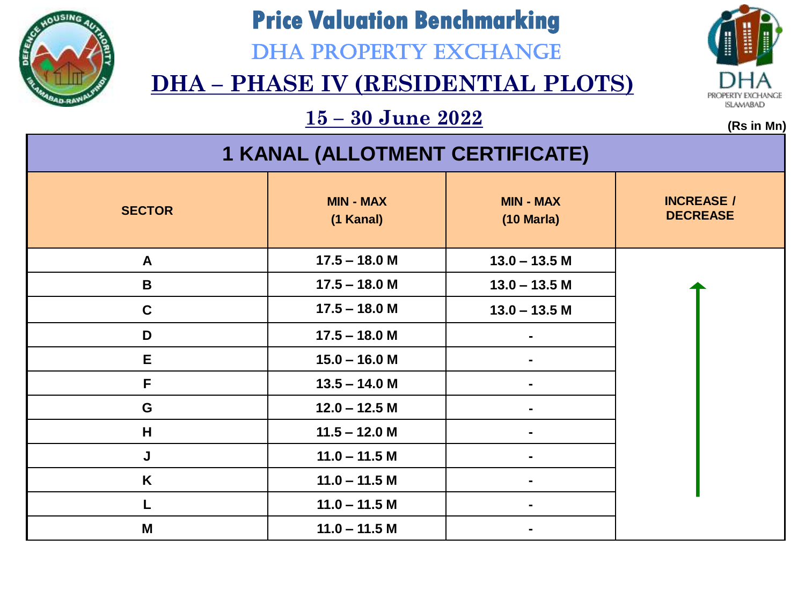

DHA PROPERTY EXCHANGE



### **DHA – PHASE IV (RESIDENTIAL PLOTS)**

 $\frac{15 - 30 \text{ June } 2022}{\text{(ms in Mn)}}$ 

| <b>1 KANAL (ALLOTMENT CERTIFICATE)</b> |                               |                                          |                                      |  |  |
|----------------------------------------|-------------------------------|------------------------------------------|--------------------------------------|--|--|
| <b>SECTOR</b>                          | <b>MIN - MAX</b><br>(1 Kanal) | <b>MIN - MAX</b><br>$(10 \text{ Maria})$ | <b>INCREASE /</b><br><b>DECREASE</b> |  |  |
| $\mathsf{A}$                           | $17.5 - 18.0 M$               | $13.0 - 13.5$ M                          |                                      |  |  |
| B                                      | $17.5 - 18.0 M$               | $13.0 - 13.5$ M                          |                                      |  |  |
| $\mathbf C$                            | $17.5 - 18.0 M$               | $13.0 - 13.5$ M                          |                                      |  |  |
| D                                      | $17.5 - 18.0 M$               |                                          |                                      |  |  |
| E                                      | $15.0 - 16.0 M$               |                                          |                                      |  |  |
| F                                      | $13.5 - 14.0 M$               |                                          |                                      |  |  |
| G                                      | $12.0 - 12.5 M$               |                                          |                                      |  |  |
| H                                      | $11.5 - 12.0 M$               |                                          |                                      |  |  |
| J                                      | $11.0 - 11.5$ M               |                                          |                                      |  |  |
| K                                      | $11.0 - 11.5 M$               |                                          |                                      |  |  |
|                                        | $11.0 - 11.5$ M               | $\blacksquare$                           |                                      |  |  |
| Μ                                      | $11.0 - 11.5$ M               |                                          |                                      |  |  |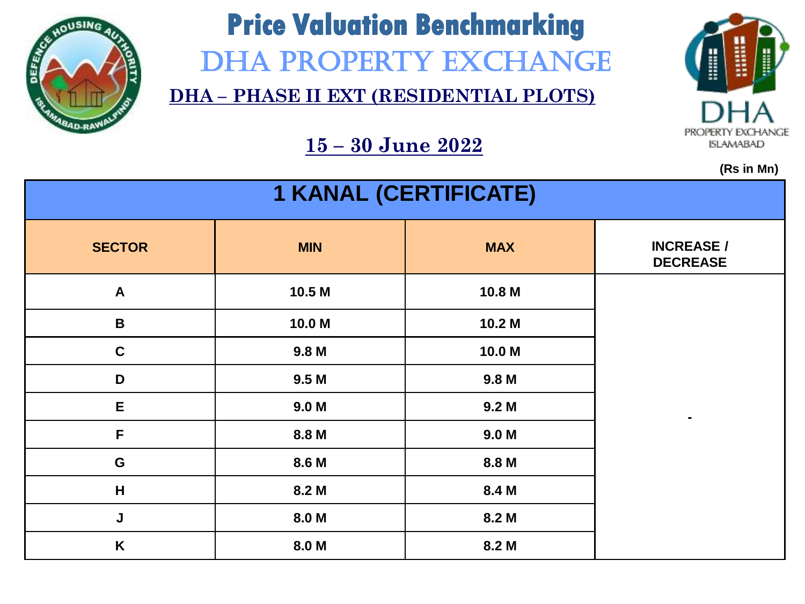

# **Price Valuation Benchmarking**  DHA PROPERTY EXCHANGE

**DHA – PHASE II EXT (RESIDENTIAL PLOTS)**



**(Rs in Mn)**

| <b>1 KANAL (CERTIFICATE)</b> |                  |                  |                                      |  |  |
|------------------------------|------------------|------------------|--------------------------------------|--|--|
| <b>SECTOR</b>                | <b>MIN</b>       | <b>MAX</b>       | <b>INCREASE /</b><br><b>DECREASE</b> |  |  |
| $\boldsymbol{A}$             | 10.5 M           | 10.8 M           |                                      |  |  |
| $\, {\bf B}$                 | 10.0 M           | 10.2 M           |                                      |  |  |
| $\mathbf C$                  | 9.8 <sub>M</sub> | 10.0 M           |                                      |  |  |
| D                            | 9.5 <sub>M</sub> | 9.8 <sub>M</sub> |                                      |  |  |
| E                            | 9.0 <sub>M</sub> | 9.2 <sub>M</sub> | $\blacksquare$                       |  |  |
| F                            | 8.8 M            | 9.0 <sub>M</sub> |                                      |  |  |
| G                            | 8.6 M            | 8.8 M            |                                      |  |  |
| H                            | 8.2 M            | 8.4 M            |                                      |  |  |
| J                            | 8.0 M            | 8.2 M            |                                      |  |  |
| K                            | 8.0 M            | 8.2 M            |                                      |  |  |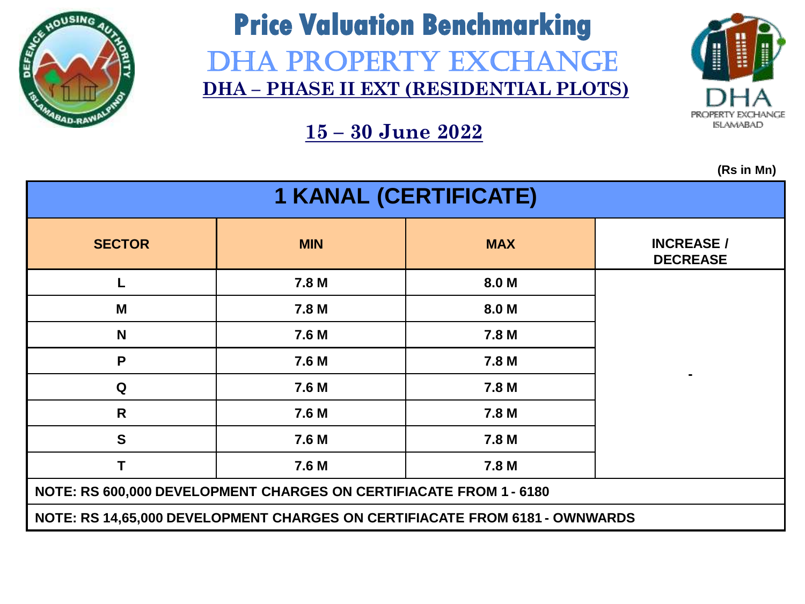

### **Price Valuation Benchmarking** DHA PROPERTY EXCHANGE **DHA – PHASE II EXT (RESIDENTIAL PLOTS)**



**15 – 30 June 2022**

| <b>1 KANAL (CERTIFICATE)</b>                                                |            |            |                                      |  |  |
|-----------------------------------------------------------------------------|------------|------------|--------------------------------------|--|--|
| <b>SECTOR</b>                                                               | <b>MIN</b> | <b>MAX</b> | <b>INCREASE /</b><br><b>DECREASE</b> |  |  |
| L                                                                           | 7.8 M      | 8.0 M      |                                      |  |  |
| M                                                                           | 7.8 M      | 8.0 M      |                                      |  |  |
| N                                                                           | 7.6 M      | 7.8 M      |                                      |  |  |
| P                                                                           | 7.6 M      | 7.8 M      |                                      |  |  |
| Q                                                                           | 7.6 M      | 7.8 M      |                                      |  |  |
| R                                                                           | 7.6 M      | 7.8 M      |                                      |  |  |
| $\mathbf{s}$                                                                | 7.6 M      | 7.8 M      |                                      |  |  |
| T                                                                           | 7.6 M      | 7.8 M      |                                      |  |  |
| NOTE: RS 600,000 DEVELOPMENT CHARGES ON CERTIFIACATE FROM 1 - 6180          |            |            |                                      |  |  |
| NOTE: RS 14,65,000 DEVELOPMENT CHARGES ON CERTIFIACATE FROM 6181 - OWNWARDS |            |            |                                      |  |  |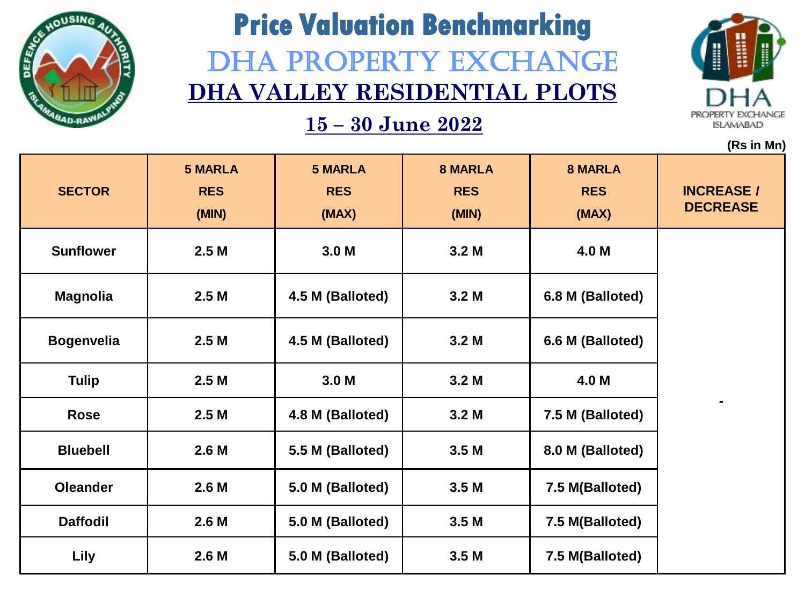

# **Price Valuation Benchmarking** DHA PROPERTY EXCHANGE **DHA VALLEY RESIDENTIAL PLOTS**



|                   |                                       |                                       |                                       |                                       | (Rs in Mn)                           |
|-------------------|---------------------------------------|---------------------------------------|---------------------------------------|---------------------------------------|--------------------------------------|
| <b>SECTOR</b>     | <b>5 MARLA</b><br><b>RES</b><br>(MIN) | <b>5 MARLA</b><br><b>RES</b><br>(MAX) | <b>8 MARLA</b><br><b>RES</b><br>(MIN) | <b>8 MARLA</b><br><b>RES</b><br>(MAX) | <b>INCREASE /</b><br><b>DECREASE</b> |
| <b>Sunflower</b>  | 2.5 <sub>M</sub>                      | 3.0 <sub>M</sub>                      | 3.2 <sub>M</sub>                      | 4.0 M                                 |                                      |
| <b>Magnolia</b>   | 2.5 <sub>M</sub>                      | 4.5 M (Balloted)                      | 3.2 <sub>M</sub>                      | 6.8 M (Balloted)                      |                                      |
| <b>Bogenvelia</b> | 2.5 <sub>M</sub>                      | 4.5 M (Balloted)                      | 3.2 <sub>M</sub>                      | 6.6 M (Balloted)                      |                                      |
| <b>Tulip</b>      | 2.5 <sub>M</sub>                      | 3.0 <sub>M</sub>                      | 3.2 <sub>M</sub>                      | 4.0 M                                 |                                      |
| <b>Rose</b>       | 2.5M                                  | 4.8 M (Balloted)                      | 3.2 <sub>M</sub>                      | 7.5 M (Balloted)                      | $\blacksquare$                       |
| <b>Bluebell</b>   | 2.6 <sub>M</sub>                      | 5.5 M (Balloted)                      | 3.5 <sub>M</sub>                      | 8.0 M (Balloted)                      |                                      |
| <b>Oleander</b>   | 2.6 <sub>M</sub>                      | 5.0 M (Balloted)                      | 3.5 <sub>M</sub>                      | 7.5 M(Balloted)                       |                                      |
| <b>Daffodil</b>   | 2.6 <sub>M</sub>                      | 5.0 M (Balloted)                      | 3.5 <sub>M</sub>                      | 7.5 M(Balloted)                       |                                      |
| Lily              | 2.6 <sub>M</sub>                      | 5.0 M (Balloted)                      | 3.5 <sub>M</sub>                      | 7.5 M(Balloted)                       |                                      |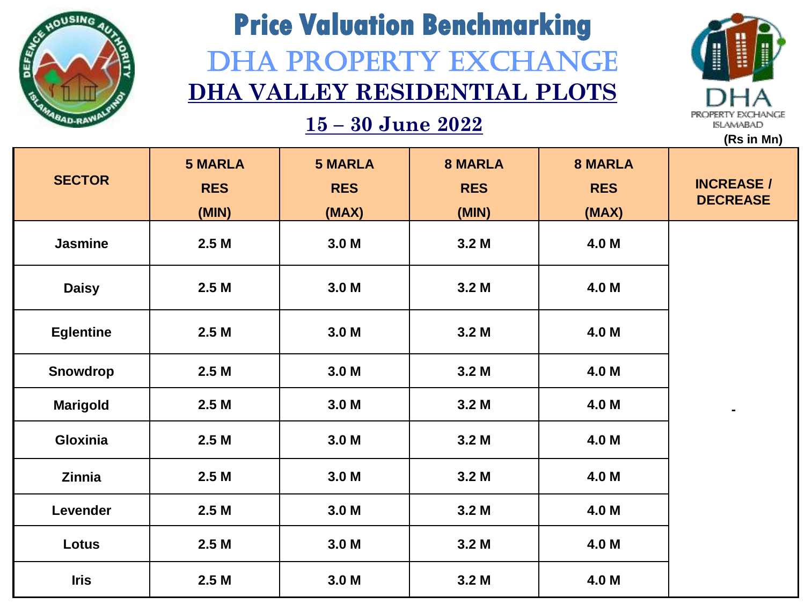

# **Price Valuation Benchmarking** DHA PROPERTY EXCHANGE **DHA VALLEY RESIDENTIAL PLOTS**



|                  |                  |                  |                  |                | (Rs in Mn)                           |
|------------------|------------------|------------------|------------------|----------------|--------------------------------------|
|                  | <b>5 MARLA</b>   | <b>5 MARLA</b>   | <b>8 MARLA</b>   | <b>8 MARLA</b> |                                      |
| <b>SECTOR</b>    | <b>RES</b>       | <b>RES</b>       | <b>RES</b>       | <b>RES</b>     | <b>INCREASE /</b><br><b>DECREASE</b> |
|                  | (MIN)            | (MAX)            | (MIN)            | (MAX)          |                                      |
| <b>Jasmine</b>   | 2.5M             | 3.0 <sub>M</sub> | 3.2 <sub>M</sub> | 4.0 M          |                                      |
| <b>Daisy</b>     | 2.5M             | 3.0 <sub>M</sub> | 3.2 <sub>M</sub> | 4.0 M          |                                      |
| <b>Eglentine</b> | 2.5M             | 3.0 <sub>M</sub> | 3.2 <sub>M</sub> | 4.0 M          |                                      |
| Snowdrop         | 2.5M             | 3.0 M            | 3.2 <sub>M</sub> | 4.0 M          |                                      |
| <b>Marigold</b>  | 2.5 <sub>M</sub> | 3.0 <sub>M</sub> | 3.2 <sub>M</sub> | 4.0 M          | $\blacksquare$                       |
| Gloxinia         | 2.5M             | 3.0 <sub>M</sub> | 3.2 <sub>M</sub> | 4.0 M          |                                      |
| Zinnia           | 2.5M             | 3.0 <sub>M</sub> | 3.2 <sub>M</sub> | 4.0 M          |                                      |
| Levender         | 2.5M             | 3.0 <sub>M</sub> | 3.2 <sub>M</sub> | 4.0 M          |                                      |
| Lotus            | 2.5M             | 3.0 <sub>M</sub> | 3.2 <sub>M</sub> | 4.0 M          |                                      |
| <b>Iris</b>      | 2.5M             | 3.0 <sub>M</sub> | 3.2 <sub>M</sub> | 4.0 M          |                                      |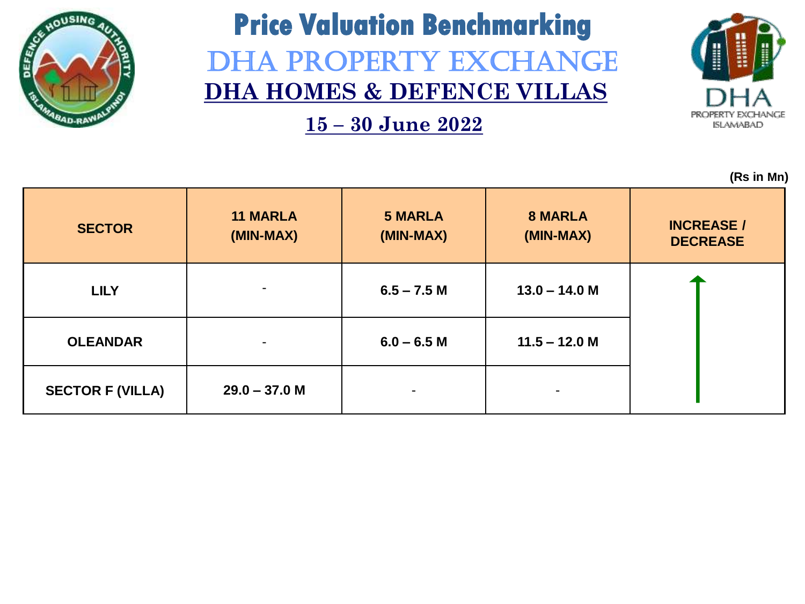

## **Price Valuation Benchmarking** DHA PROPERTY EXCHANGE **DHA HOMES & DEFENCE VILLAS**

**15 – 30 June 2022**



| <b>SECTOR</b>           | <b>11 MARLA</b><br>(MIN-MAX) | <b>5 MARLA</b><br>(MIN-MAX) | <b>8 MARLA</b><br>(MIN-MAX) | <b>INCREASE /</b><br><b>DECREASE</b> |
|-------------------------|------------------------------|-----------------------------|-----------------------------|--------------------------------------|
| <b>LILY</b>             | $\blacksquare$               | $6.5 - 7.5 M$               | $13.0 - 14.0 M$             |                                      |
| <b>OLEANDAR</b>         | $\blacksquare$               | $6.0 - 6.5 M$               | $11.5 - 12.0$ M             |                                      |
| <b>SECTOR F (VILLA)</b> | $29.0 - 37.0 M$              |                             | $\overline{\phantom{a}}$    |                                      |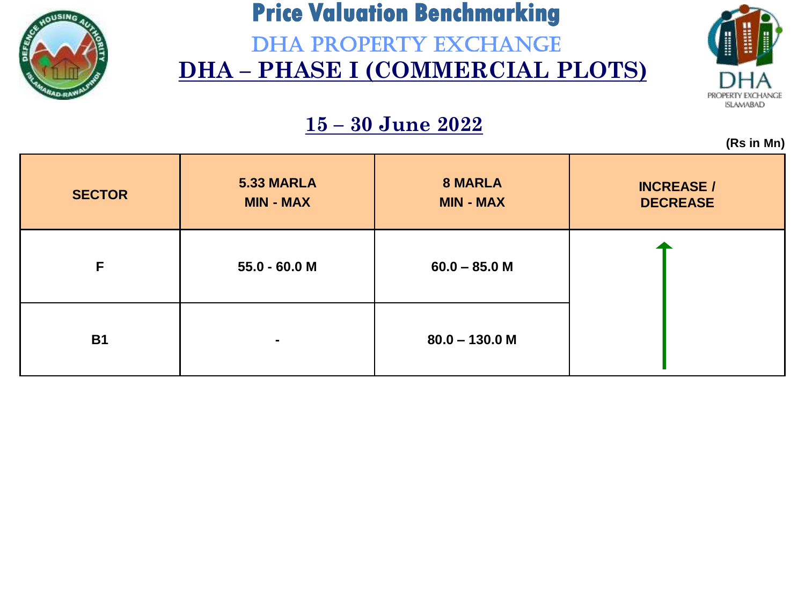

DHA PROPERTY EXCHANGE **DHA – PHASE I (COMMERCIAL PLOTS)**



**(Rs in Mn)**

|               |                                |                                    | $\mathbf{v}$                         |
|---------------|--------------------------------|------------------------------------|--------------------------------------|
| <b>SECTOR</b> | 5.33 MARLA<br><b>MIN - MAX</b> | <b>8 MARLA</b><br><b>MIN - MAX</b> | <b>INCREASE /</b><br><b>DECREASE</b> |
| F             | $55.0 - 60.0 M$                | $60.0 - 85.0 M$                    |                                      |
| <b>B1</b>     | $\blacksquare$                 | $80.0 - 130.0$ M                   |                                      |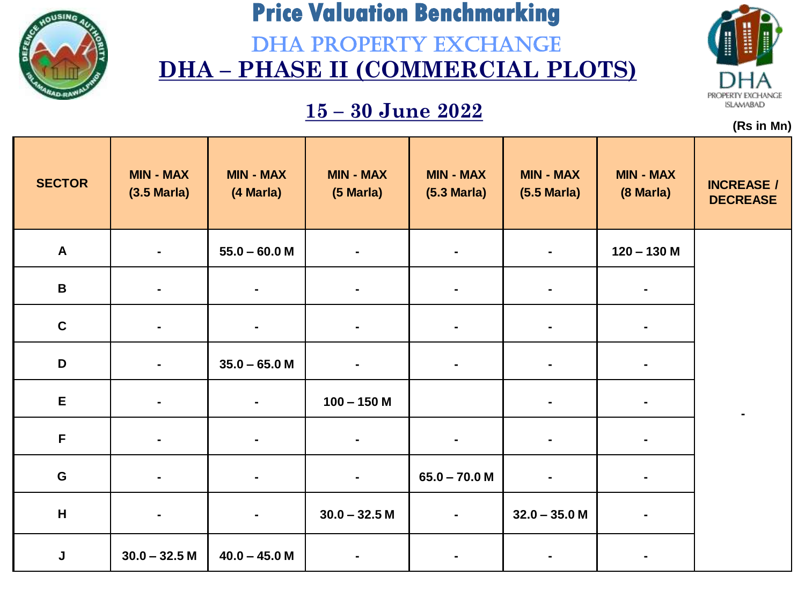

DHA PROPERTY EXCHANGE **DHA – PHASE II (COMMERCIAL PLOTS)**

### **15 – 30 June 2022**



| <b>SECTOR</b> | <b>MIN - MAX</b><br>$(3.5 \text{ Maria})$ | <b>MIN - MAX</b><br>(4 Marla) | <b>MIN - MAX</b><br>(5 Marla) | <b>MIN - MAX</b><br>$(5.3 \text{ Maria})$ | <b>MIN - MAX</b><br>$(5.5 \text{ Maria})$ | <b>MIN - MAX</b><br>(8 Marla) | <b>INCREASE /</b><br><b>DECREASE</b> |
|---------------|-------------------------------------------|-------------------------------|-------------------------------|-------------------------------------------|-------------------------------------------|-------------------------------|--------------------------------------|
| $\mathbf{A}$  |                                           | $55.0 - 60.0 M$               |                               |                                           |                                           | $120 - 130$ M                 |                                      |
| $\, {\bf B}$  | $\blacksquare$                            | $\blacksquare$                | $\blacksquare$                | $\blacksquare$                            | ٠                                         | $\blacksquare$                |                                      |
| $\mathbf c$   |                                           | $\blacksquare$                |                               |                                           |                                           |                               |                                      |
| D             | $\blacksquare$                            | $35.0 - 65.0 M$               | $\blacksquare$                | $\blacksquare$                            | $\blacksquare$                            | $\blacksquare$                |                                      |
| E             |                                           | $\blacksquare$                | $100 - 150$ M                 |                                           | $\blacksquare$                            |                               |                                      |
| $\mathsf F$   | $\blacksquare$                            | $\blacksquare$                | $\blacksquare$                | $\blacksquare$                            | $\blacksquare$                            | $\blacksquare$                |                                      |
| ${\bf G}$     |                                           | $\blacksquare$                | $\blacksquare$                | $65.0 - 70.0 M$                           |                                           |                               |                                      |
| H             | $\blacksquare$                            | $\blacksquare$                | $30.0 - 32.5 M$               | $\blacksquare$                            | $32.0 - 35.0 M$                           |                               |                                      |
| J             | $30.0 - 32.5 M$                           | $40.0 - 45.0 M$               |                               |                                           |                                           |                               |                                      |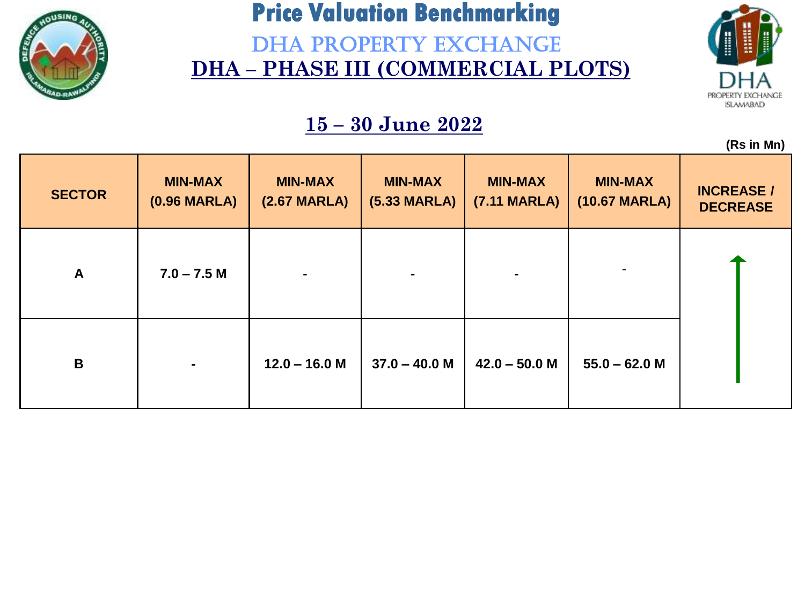

DHA PROPERTY EXCHANGE **DHA – PHASE III (COMMERCIAL PLOTS)**



**(Rs in Mn)**

|               |                                          |                                          |                                          |                                |                                 | $\mathbf{v}$ . The contract of $\mathbf{v}$ |
|---------------|------------------------------------------|------------------------------------------|------------------------------------------|--------------------------------|---------------------------------|---------------------------------------------|
| <b>SECTOR</b> | <b>MIN-MAX</b><br>$(0.96 \text{ MARLA})$ | <b>MIN-MAX</b><br>$(2.67 \text{ MARLA})$ | <b>MIN-MAX</b><br>$(5.33 \text{ MARLA})$ | <b>MIN-MAX</b><br>(7.11 MARLA) | <b>MIN-MAX</b><br>(10.67 MARLA) | <b>INCREASE /</b><br><b>DECREASE</b>        |
| $\mathbf{A}$  | $7.0 - 7.5 M$                            | $\blacksquare$                           |                                          |                                |                                 |                                             |
| $\mathbf B$   | $\blacksquare$                           | $12.0 - 16.0 M$                          | $37.0 - 40.0 M$                          | $42.0 - 50.0 M$                | $55.0 - 62.0 M$                 |                                             |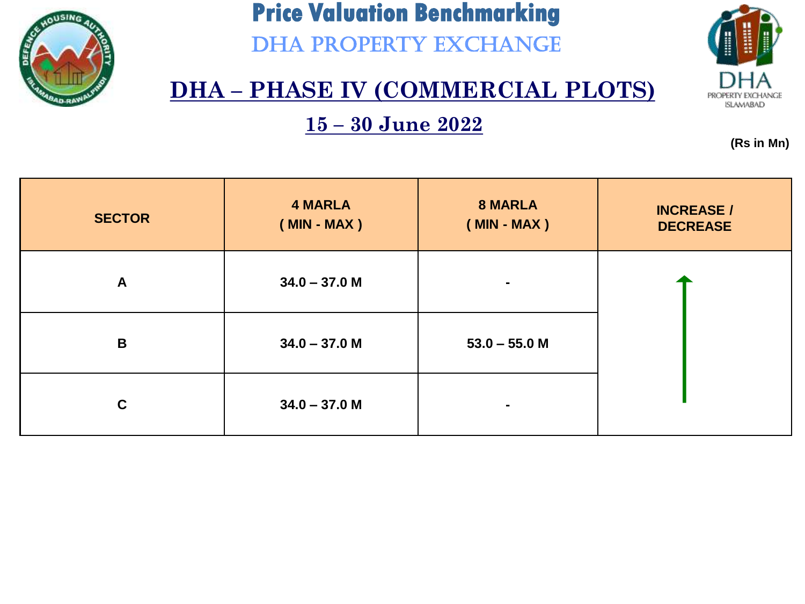

DHA PROPERTY EXCHANGE



### **DHA – PHASE IV (COMMERCIAL PLOTS)**

**15 – 30 June 2022**

| <b>SECTOR</b> | <b>4 MARLA</b><br>$(MIN - MAX)$ | <b>8 MARLA</b><br>$(MIN - MAX)$ | <b>INCREASE /</b><br><b>DECREASE</b> |
|---------------|---------------------------------|---------------------------------|--------------------------------------|
| $\mathsf{A}$  | $34.0 - 37.0 M$                 | $\blacksquare$                  |                                      |
| B             | $34.0 - 37.0 M$                 | $53.0 - 55.0 M$                 |                                      |
| $\mathbf C$   | $34.0 - 37.0 M$                 | ٠                               |                                      |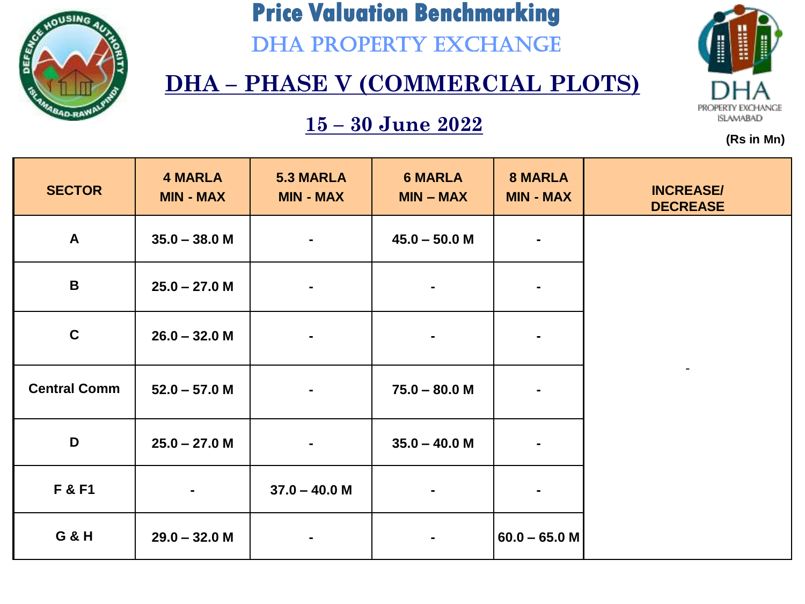

DHA PROPERTY EXCHANGE

# PROPERTY EXCHANGE **ISLAMABAD**

**(Rs in Mn)**

### **DHA – PHASE V (COMMERCIAL PLOTS)**

| <b>SECTOR</b>       | <b>4 MARLA</b><br><b>MIN - MAX</b> | <b>5.3 MARLA</b><br><b>MIN - MAX</b> | <b>6 MARLA</b><br>$MIN - MAX$ | <b>8 MARLA</b><br><b>MIN - MAX</b> | <b>INCREASE/</b><br><b>DECREASE</b> |
|---------------------|------------------------------------|--------------------------------------|-------------------------------|------------------------------------|-------------------------------------|
| $\mathbf{A}$        | $35.0 - 38.0 M$                    | $\blacksquare$                       | $45.0 - 50.0 M$               | $\blacksquare$                     |                                     |
| $\mathbf B$         | $25.0 - 27.0 M$                    |                                      | $\blacksquare$                | $\blacksquare$                     |                                     |
| $\mathbf C$         | $26.0 - 32.0 M$                    | $\blacksquare$                       | $\blacksquare$                |                                    |                                     |
| <b>Central Comm</b> | $52.0 - 57.0 M$                    |                                      | $75.0 - 80.0 M$               | $\blacksquare$                     |                                     |
| D                   | $25.0 - 27.0 M$                    | $\blacksquare$                       | $35.0 - 40.0 M$               | $\blacksquare$                     |                                     |
| F & F1              | $\blacksquare$                     | $37.0 - 40.0 M$                      | $\blacksquare$                | $\blacksquare$                     |                                     |
| <b>G &amp; H</b>    | $29.0 - 32.0 M$                    | $\blacksquare$                       | $\blacksquare$                | $60.0 - 65.0$ M                    |                                     |